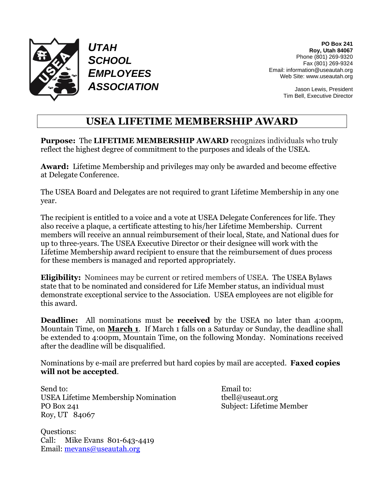

*UTAH SCHOOL EMPLOYEES ASSOCIATION*

**PO Box 241 Roy, Utah 84067** Phone (801) 269-9320 Fax (801) 269-9324 Email: information@useautah.org Web Site: www.useautah.org

> Jason Lewis, President Tim Bell, Executive Director

#### **USEA LIFETIME MEMBERSHIP AWARD**

**Purpose:** The **LIFETIME MEMBERSHIP AWARD** recognizes individuals who truly reflect the highest degree of commitment to the purposes and ideals of the USEA.

**Award:** Lifetime Membership and privileges may only be awarded and become effective at Delegate Conference.

The USEA Board and Delegates are not required to grant Lifetime Membership in any one year.

The recipient is entitled to a voice and a vote at USEA Delegate Conferences for life. They also receive a plaque, a certificate attesting to his/her Lifetime Membership. Current members will receive an annual reimbursement of their local, State, and National dues for up to three-years. The USEA Executive Director or their designee will work with the Lifetime Membership award recipient to ensure that the reimbursement of dues process for these members is managed and reported appropriately.

**Eligibility:** Nominees may be current or retired members of USEA. The USEA Bylaws state that to be nominated and considered for Life Member status, an individual must demonstrate exceptional service to the Association. USEA employees are not eligible for this award.

**Deadline:** All nominations must be **received** by the USEA no later than 4:00pm, Mountain Time, on **March 1**. If March 1 falls on a Saturday or Sunday, the deadline shall be extended to 4:00pm, Mountain Time, on the following Monday. Nominations received after the deadline will be disqualified.

Nominations by e-mail are preferred but hard copies by mail are accepted. **Faxed copies will not be accepted**.

Send to: Email to: USEA Lifetime Membership Nomination tbell@useaut.org PO Box 241 Subject: Lifetime Member Roy, UT 84067

Questions: Call: Mike Evans 801-643-4419 Email: [mevans@useautah.org](mailto:mevans@useautah.org)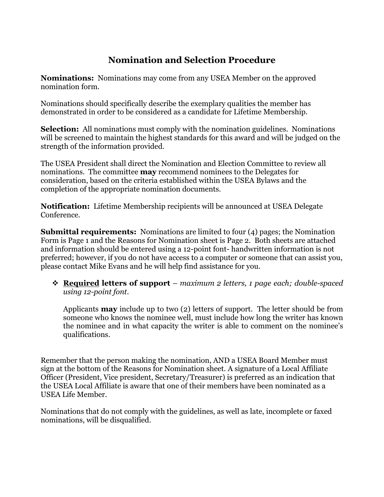### **Nomination and Selection Procedure**

**Nominations:** Nominations may come from any USEA Member on the approved nomination form.

Nominations should specifically describe the exemplary qualities the member has demonstrated in order to be considered as a candidate for Lifetime Membership.

**Selection:** All nominations must comply with the nomination guidelines. Nominations will be screened to maintain the highest standards for this award and will be judged on the strength of the information provided.

The USEA President shall direct the Nomination and Election Committee to review all nominations. The committee **may** recommend nominees to the Delegates for consideration, based on the criteria established within the USEA Bylaws and the completion of the appropriate nomination documents.

**Notification:** Lifetime Membership recipients will be announced at USEA Delegate Conference.

**Submittal requirements:** Nominations are limited to four (4) pages; the Nomination Form is Page 1 and the Reasons for Nomination sheet is Page 2. Both sheets are attached and information should be entered using a 12-point font- handwritten information is not preferred; however, if you do not have access to a computer or someone that can assist you, please contact Mike Evans and he will help find assistance for you.

❖ **Required letters of support** – *maximum 2 letters, 1 page each; double-spaced using 12-point font.*

Applicants **may** include up to two (2) letters of support. The letter should be from someone who knows the nominee well, must include how long the writer has known the nominee and in what capacity the writer is able to comment on the nominee's qualifications.

Remember that the person making the nomination, AND a USEA Board Member must sign at the bottom of the Reasons for Nomination sheet. A signature of a Local Affiliate Officer (President, Vice president, Secretary/Treasurer) is preferred as an indication that the USEA Local Affiliate is aware that one of their members have been nominated as a USEA Life Member.

Nominations that do not comply with the guidelines, as well as late, incomplete or faxed nominations, will be disqualified.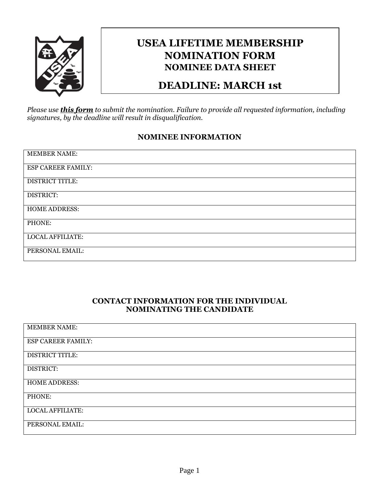

# **USEA LIFETIME MEMBERSHIP NOMINATION FORM NOMINEE DATA SHEET**

### **DEADLINE: MARCH 1st**

*Please use this form to submit the nomination. Failure to provide all requested information, including signatures, by the deadline will result in disqualification.*

#### **NOMINEE INFORMATION**

| <b>MEMBER NAME:</b>     |
|-------------------------|
| ESP CAREER FAMILY:      |
| <b>DISTRICT TITLE:</b>  |
| DISTRICT:               |
| <b>HOME ADDRESS:</b>    |
| PHONE:                  |
| <b>LOCAL AFFILIATE:</b> |
| PERSONAL EMAIL:         |

#### **CONTACT INFORMATION FOR THE INDIVIDUAL NOMINATING THE CANDIDATE**

| <b>MEMBER NAME:</b>     |
|-------------------------|
| ESP CAREER FAMILY:      |
| <b>DISTRICT TITLE:</b>  |
| DISTRICT:               |
| <b>HOME ADDRESS:</b>    |
| PHONE:                  |
| <b>LOCAL AFFILIATE:</b> |
| PERSONAL EMAIL:         |